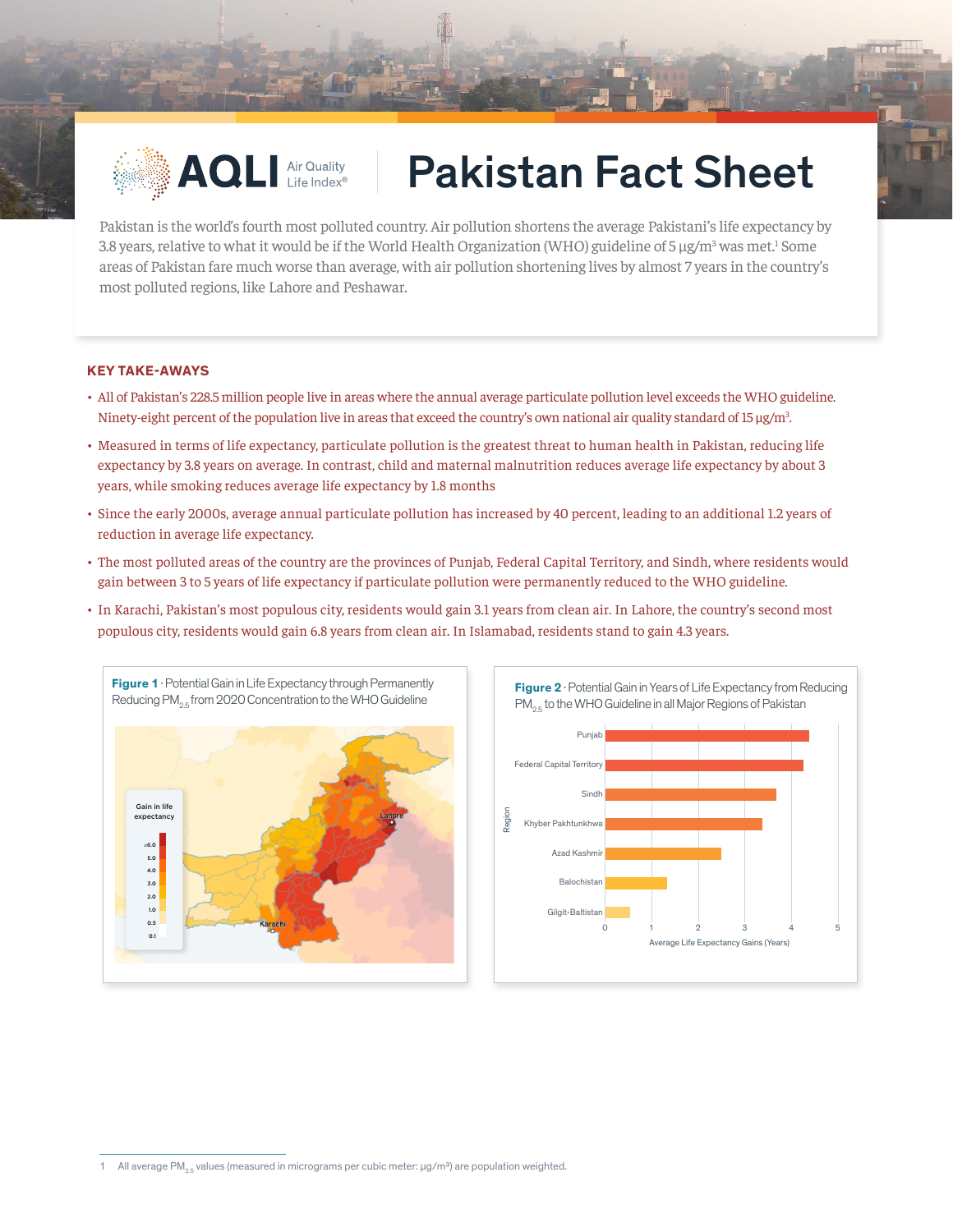

## AQLI Air Quality | Pakistan Fact Sheet

Pakistan is the world's fourth most polluted country. Air pollution shortens the average Pakistani's life expectancy by 3.8 years, relative to what it would be if the World Health Organization (WHO) guideline of 5 µg/m<sup>3</sup> was met.<sup>1</sup> Some areas of Pakistan fare much worse than average, with air pollution shortening lives by almost 7 years in the country's most polluted regions, like Lahore and Peshawar.

## **KEY TAKE-AWAYS**

- All of Pakistan's 228.5 million people live in areas where the annual average particulate pollution level exceeds the WHO guideline. Ninety-eight percent of the population live in areas that exceed the country's own national air quality standard of 15 µg/m<sup>3</sup>. .
- Measured in terms of life expectancy, particulate pollution is the greatest threat to human health in Pakistan, reducing life expectancy by 3.8 years on average. In contrast, child and maternal malnutrition reduces average life expectancy by about 3 years, while smoking reduces average life expectancy by 1.8 months
- Since the early 2000s, average annual particulate pollution has increased by 40 percent, leading to an additional 1.2 years of reduction in average life expectancy.
- The most polluted areas of the country are the provinces of Punjab, Federal Capital Territory, and Sindh, where residents would gain between 3 to 5 years of life expectancy if particulate pollution were permanently reduced to the WHO guideline.
- In Karachi, Pakistan's most populous city, residents would gain 3.1 years from clean air. In Lahore, the country's second most populous city, residents would gain 6.8 years from clean air. In Islamabad, residents stand to gain 4.3 years.





<sup>1</sup> All average PM<sub>2.5</sub> values (measured in micrograms per cubic meter:  $\mu g/m^3$ ) are population weighted.